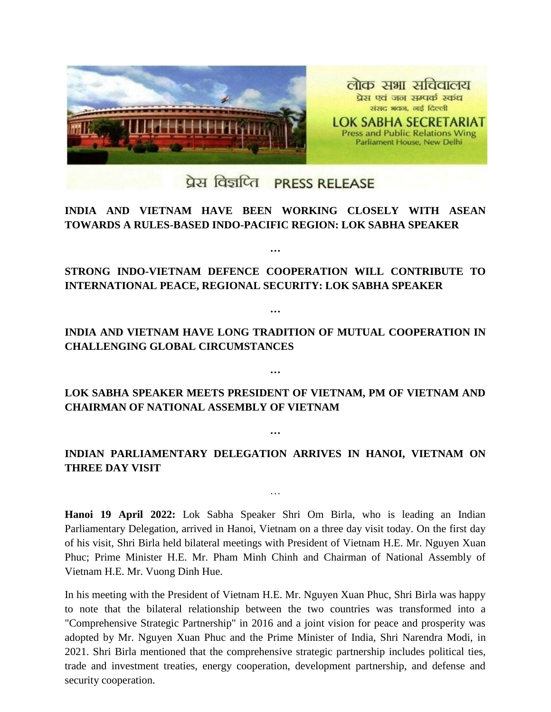

## प्रेस विज्ञप्ति PRESS RELEASE

## **INDIA AND VIETNAM HAVE BEEN WORKING CLOSELY WITH ASEAN TOWARDS A RULES-BASED INDO-PACIFIC REGION: LOK SABHA SPEAKER**

**STRONG INDO-VIETNAM DEFENCE COOPERATION WILL CONTRIBUTE TO INTERNATIONAL PEACE, REGIONAL SECURITY: LOK SABHA SPEAKER**

**…**

**…**

**INDIA AND VIETNAM HAVE LONG TRADITION OF MUTUAL COOPERATION IN CHALLENGING GLOBAL CIRCUMSTANCES**

**LOK SABHA SPEAKER MEETS PRESIDENT OF VIETNAM, PM OF VIETNAM AND CHAIRMAN OF NATIONAL ASSEMBLY OF VIETNAM**

**…**

**INDIAN PARLIAMENTARY DELEGATION ARRIVES IN HANOI, VIETNAM ON THREE DAY VISIT**

…

**…**

**Hanoi 19 April 2022:** Lok Sabha Speaker Shri Om Birla, who is leading an Indian Parliamentary Delegation, arrived in Hanoi, Vietnam on a three day visit today. On the first day of his visit, Shri Birla held bilateral meetings with President of Vietnam H.E. Mr. Nguyen Xuan Phuc; Prime Minister H.E. Mr. Pham Minh Chinh and Chairman of National Assembly of Vietnam H.E. Mr. Vuong Dinh Hue.

In his meeting with the President of Vietnam H.E. Mr. Nguyen Xuan Phuc, Shri Birla was happy to note that the bilateral relationship between the two countries was transformed into a "Comprehensive Strategic Partnership" in 2016 and a joint vision for peace and prosperity was adopted by Mr. Nguyen Xuan Phuc and the Prime Minister of India, Shri Narendra Modi, in 2021. Shri Birla mentioned that the comprehensive strategic partnership includes political ties, trade and investment treaties, energy cooperation, development partnership, and defense and security cooperation.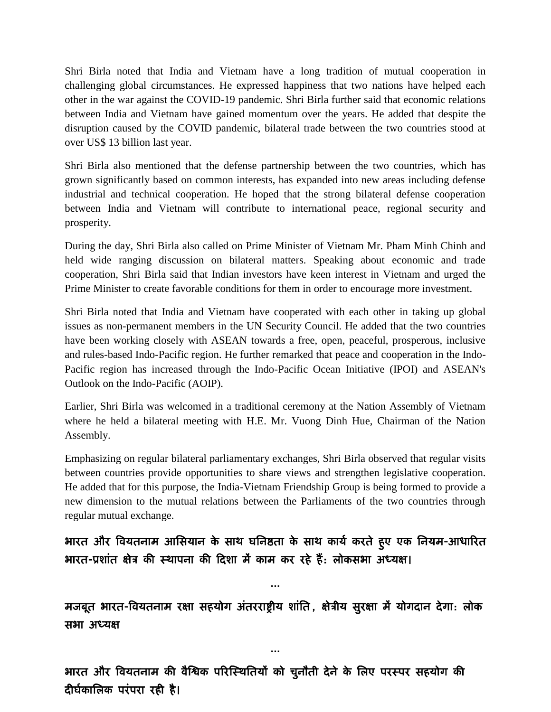Shri Birla noted that India and Vietnam have a long tradition of mutual cooperation in challenging global circumstances. He expressed happiness that two nations have helped each other in the war against the COVID-19 pandemic. Shri Birla further said that economic relations between India and Vietnam have gained momentum over the years. He added that despite the disruption caused by the COVID pandemic, bilateral trade between the two countries stood at over US\$ 13 billion last year.

Shri Birla also mentioned that the defense partnership between the two countries, which has grown significantly based on common interests, has expanded into new areas including defense industrial and technical cooperation. He hoped that the strong bilateral defense cooperation between India and Vietnam will contribute to international peace, regional security and prosperity.

During the day, Shri Birla also called on Prime Minister of Vietnam Mr. Pham Minh Chinh and held wide ranging discussion on bilateral matters. Speaking about economic and trade cooperation, Shri Birla said that Indian investors have keen interest in Vietnam and urged the Prime Minister to create favorable conditions for them in order to encourage more investment.

Shri Birla noted that India and Vietnam have cooperated with each other in taking up global issues as non-permanent members in the UN Security Council. He added that the two countries have been working closely with ASEAN towards a free, open, peaceful, prosperous, inclusive and rules-based Indo-Pacific region. He further remarked that peace and cooperation in the Indo-Pacific region has increased through the Indo-Pacific Ocean Initiative (IPOI) and ASEAN's Outlook on the Indo-Pacific (AOIP).

Earlier, Shri Birla was welcomed in a traditional ceremony at the Nation Assembly of Vietnam where he held a bilateral meeting with H.E. Mr. Vuong Dinh Hue, Chairman of the Nation Assembly.

Emphasizing on regular bilateral parliamentary exchanges, Shri Birla observed that regular visits between countries provide opportunities to share views and strengthen legislative cooperation. He added that for this purpose, the India-Vietnam Friendship Group is being formed to provide a new dimension to the mutual relations between the Parliaments of the two countries through regular mutual exchange.

## भारत और वियतनाम आसियान के साथ घनिष्ठता के साथ कार्य करते हुए एक नियम-आधारित भारत-प्रशांत क्षेत्र की स्थापना की दिशा में काम कर रहे हैं: लोकसभा अध्यक्ष।

…

मजबूत भारत-वियतनाम रक्षा सहयोग अंतरराष्ट्रीय शांति, क्षेत्रीय सुरक्षा में योगदान देगा: लोक िबा अध्मक्ष

…

भारत और वियतनाम की वैश्विक परिस्थितियों को चुनौती देने के लिए परस्पर सहयोग की दीर्घकालिक परंपरा रही है।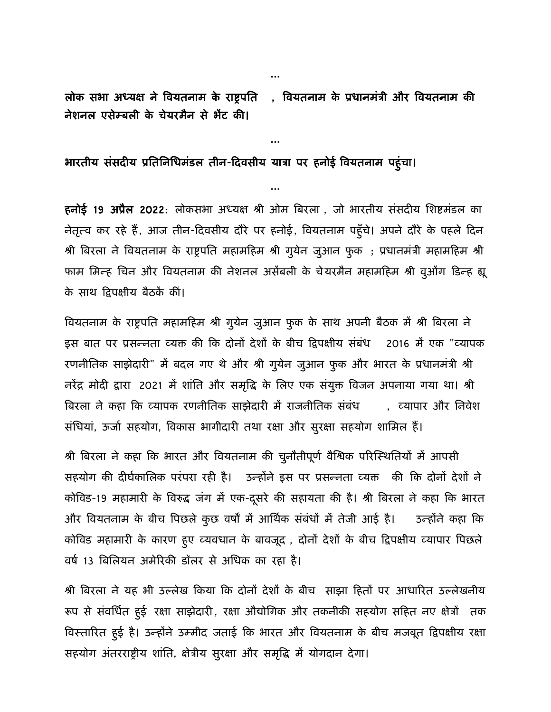लोक सभा अध्यक्ष ने वियतनाम के राष्ट्रपति , वियतनाम के प्रधानमंत्री और वियतनाम की नेशनल एसेम्बली के चेयरमैन से भेंट की।

…

…

## भारतीय संसदीय प्रतिनिधिमंडल तीन-दिवसीय यात्रा पर हनोई वियतनाम पहुंचा।

हनोई 19 अप्रैल 2022: लोकसभा अध्यक्ष श्री ओम बिरला, जो भारतीय संसदीय शिष्टमंडल का नेतृत्व कर रहे हैं, आज तीन-दिवसीय दौरे पर हनोई, वियतनाम पहुँचे। अपने दौरे के पहले दिन श्री बिरला ने वियतनाम के राष्ट्रपति महामहिम श्री गुयेन जुआन फुक ; प्रधानमंत्री महामहिम श्री फाम मिन्ह चिन और वियतनाम की नेशनल असेंबली के चेयरमैन महामहिम श्री वूओंग डिन्ह ह्यू के साथ द्विपक्षीय बैठकें कीं।

वियतनाम के राष्ट्रपति महामहिम श्री गुयेन जुआन फुक के साथ अपनी बैठक में श्री बिरला ने इस बात पर प्रसन्नता व्यक्त की कि दोनों देशों के बीच द्विपक्षीय संबंध 2016 में एक "व्यापक रणनीतिक साझेदारी" में बदल गए थे और श्री गुयेन जुआन फुक और भारत के प्रधानमंत्री श्री नरेंद्र मोदी द्वारा 2021 में शांति और समृद्धि के लिए एक संयुक्त विजन अपनाया गया था। श्री बिरला ने कहा कि व्यापक रणनीतिक साझेदारी में राजनीतिक संबंध किया , व्यापार और निवेश संधियां, ऊर्जा सहयोग, विकास भागीदारी तथा रक्षा और सुरक्षा सहयोग शामिल हैं।

श्री बिरला ने कहा कि भारत और वियतनाम की चुनौतीपूर्ण वैश्विक परिस्थितियों में आपसी सहयोग की दीर्घकालिक परंपरा रही है। उन्होंने इस पर प्रसन्नता व्यक्त की कि दोनों देशों ने कोविड-19 महामारी के विरुद्ध जंग में एक-दूसरे की सहायता की है। श्री बिरला ने कहा कि भारत और वियतनाम के बीच पिछले कुछ वर्षों में आर्थिक संबंधों में तेजी आई है। जन्होंने कहा कि कोविड महामारी के कारण हुए व्यवधान के बावजूद , दोनों देशों के बीच द्विपक्षीय व्यापार पिछले वर्ष 13 बिलियन अमेरिकी डॉलर से अधिक का रहा है।

श्री बिरला ने यह भी उल्लेख किया कि दोनों देशों के बीच) साझा हितों पर आधारित उल्लेखनीय रूप से संवर्धित हुई रक्षा साझेदारी, रक्षा औद्योगिक और तकनीकी सहयोग सहित नए क्षेत्रों तक विस्तारित हुई है। उन्होंने उम्मीद जताई कि भारत और वियतनाम के बीच मजबूत द्विपक्षीय रक्षा सहयोग अंतरराष्ट्रीय शांति, क्षेत्रीय सुरक्षा और समृद्धि में योगदान देगा।

…